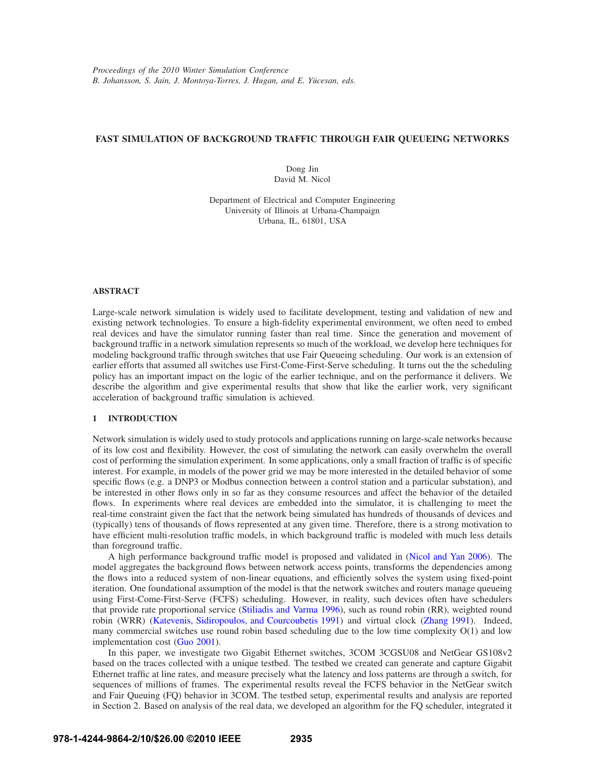## **FAST SIMULATION OF BACKGROUND TRAFFIC THROUGH FAIR QUEUEING NETWORKS**

Dong Jin David M. Nicol

Department of Electrical and Computer Engineering University of Illinois at Urbana-Champaign Urbana, IL, 61801, USA

## **ABSTRACT**

Large-scale network simulation is widely used to facilitate development, testing and validation of new and existing network technologies. To ensure a high-fidelity experimental environment, we often need to embed real devices and have the simulator running faster than real time. Since the generation and movement of background traffic in a network simulation represents so much of the workload, we develop here techniques for modeling background traffic through switches that use Fair Queueing scheduling. Our work is an extension of earlier efforts that assumed all switches use First-Come-First-Serve scheduling. It turns out the the scheduling policy has an important impact on the logic of the earlier technique, and on the performance it delivers. We describe the algorithm and give experimental results that show that like the earlier work, very significant acceleration of background traffic simulation is achieved.

## **1 INTRODUCTION**

Network simulation is widely used to study protocols and applications running on large-scale networks because of its low cost and flexibility. However, the cost of simulating the network can easily overwhelm the overall cost of performing the simulation experiment. In some applications, only a small fraction of traffic is of specific interest. For example, in models of the power grid we may be more interested in the detailed behavior of some specific flows (e.g. a DNP3 or Modbus connection between a control station and a particular substation), and be interested in other flows only in so far as they consume resources and affect the behavior of the detailed flows. In experiments where real devices are embedded into the simulator, it is challenging to meet the real-time constraint given the fact that the network being simulated has hundreds of thousands of devices and (typically) tens of thousands of flows represented at any given time. Therefore, there is a strong motivation to have efficient multi-resolution traffic models, in which background traffic is modeled with much less details than foreground traffic.

A high performance background traffic model is proposed and validated in (Nicol and Yan 2006). The model aggregates the background flows between network access points, transforms the dependencies among the flows into a reduced system of non-linear equations, and efficiently solves the system using fixed-point iteration. One foundational assumption of the model is that the network switches and routers manage queueing using First-Come-First-Serve (FCFS) scheduling. However, in reality, such devices often have schedulers that provide rate proportional service (Stiliadis and Varma 1996), such as round robin (RR), weighted round robin (WRR) (Katevenis, Sidiropoulos, and Courcoubetis 1991) and virtual clock (Zhang 1991). Indeed, many commercial switches use round robin based scheduling due to the low time complexity  $O(1)$  and low implementation cost (Guo 2001).

In this paper, we investigate two Gigabit Ethernet switches, 3COM 3CGSU08 and NetGear GS108v2 based on the traces collected with a unique testbed. The testbed we created can generate and capture Gigabit Ethernet traffic at line rates, and measure precisely what the latency and loss patterns are through a switch, for sequences of millions of frames. The experimental results reveal the FCFS behavior in the NetGear switch and Fair Queuing (FQ) behavior in 3COM. The testbed setup, experimental results and analysis are reported in Section 2. Based on analysis of the real data, we developed an algorithm for the FQ scheduler, integrated it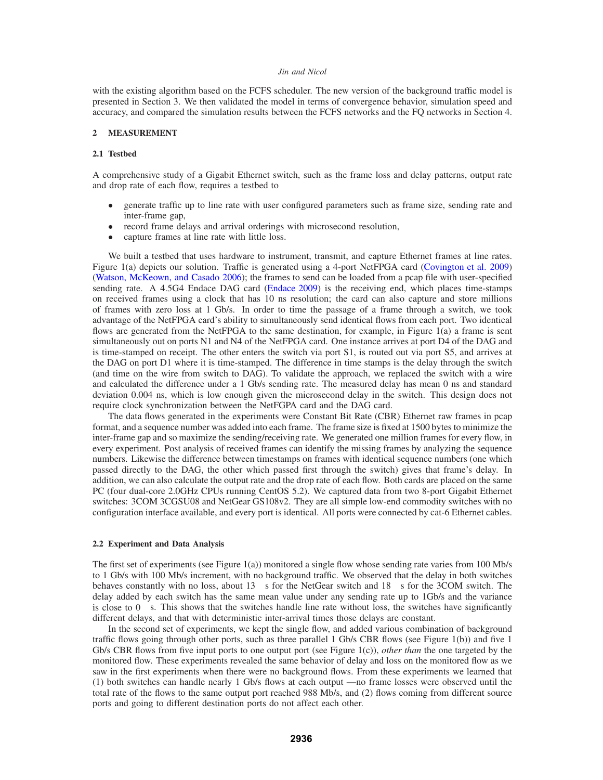with the existing algorithm based on the FCFS scheduler. The new version of the background traffic model is presented in Section 3. We then validated the model in terms of convergence behavior, simulation speed and accuracy, and compared the simulation results between the FCFS networks and the FQ networks in Section 4.

# **2 MEASUREMENT**

# **2.1 Testbed**

A comprehensive study of a Gigabit Ethernet switch, such as the frame loss and delay patterns, output rate and drop rate of each flow, requires a testbed to

- generate traffic up to line rate with user configured parameters such as frame size, sending rate and inter-frame gap,
- record frame delays and arrival orderings with microsecond resolution,
- capture frames at line rate with little loss.

We built a testbed that uses hardware to instrument, transmit, and capture Ethernet frames at line rates. Figure 1(a) depicts our solution. Traffic is generated using a 4-port NetFPGA card (Covington et al. 2009) (Watson, McKeown, and Casado 2006); the frames to send can be loaded from a pcap file with user-specified sending rate. A 4.5G4 Endace DAG card (Endace 2009) is the receiving end, which places time-stamps on received frames using a clock that has 10 ns resolution; the card can also capture and store millions of frames with zero loss at 1 Gb/s. In order to time the passage of a frame through a switch, we took advantage of the NetFPGA card's ability to simultaneously send identical flows from each port. Two identical flows are generated from the NetFPGA to the same destination, for example, in Figure 1(a) a frame is sent simultaneously out on ports N1 and N4 of the NetFPGA card. One instance arrives at port D4 of the DAG and is time-stamped on receipt. The other enters the switch via port S1, is routed out via port S5, and arrives at the DAG on port D1 where it is time-stamped. The difference in time stamps is the delay through the switch (and time on the wire from switch to DAG). To validate the approach, we replaced the switch with a wire and calculated the difference under a 1 Gb/s sending rate. The measured delay has mean 0 ns and standard deviation 0.004 ns, which is low enough given the microsecond delay in the switch. This design does not require clock synchronization between the NetFGPA card and the DAG card.

The data flows generated in the experiments were Constant Bit Rate (CBR) Ethernet raw frames in pcap format, and a sequence number was added into each frame. The frame size is fixed at 1500 bytes to minimize the inter-frame gap and so maximize the sending/receiving rate. We generated one million frames for every flow, in every experiment. Post analysis of received frames can identify the missing frames by analyzing the sequence numbers. Likewise the difference between timestamps on frames with identical sequence numbers (one which passed directly to the DAG, the other which passed first through the switch) gives that frame's delay. In addition, we can also calculate the output rate and the drop rate of each flow. Both cards are placed on the same PC (four dual-core 2.0GHz CPUs running CentOS 5.2). We captured data from two 8-port Gigabit Ethernet switches: 3COM 3CGSU08 and NetGear GS108v2. They are all simple low-end commodity switches with no configuration interface available, and every port is identical. All ports were connected by cat-6 Ethernet cables.

# **2.2 Experiment and Data Analysis**

The first set of experiments (see Figure 1(a)) monitored a single flow whose sending rate varies from 100 Mb/s to 1 Gb/s with 100 Mb/s increment, with no background traffic. We observed that the delay in both switches behaves constantly with no loss, about 13  $\mu$ s for the NetGear switch and 18  $\mu$ s for the 3COM switch. The delay added by each switch has the same mean value under any sending rate up to 1Gb/s and the variance is close to  $\theta$   $\mu$ s. This shows that the switches handle line rate without loss, the switches have significantly different delays, and that with deterministic inter-arrival times those delays are constant.

In the second set of experiments, we kept the single flow, and added various combination of background traffic flows going through other ports, such as three parallel 1 Gb/s CBR flows (see Figure 1(b)) and five 1 Gb/s CBR flows from five input ports to one output port (see Figure 1(c)), *other than* the one targeted by the monitored flow. These experiments revealed the same behavior of delay and loss on the monitored flow as we saw in the first experiments when there were no background flows. From these experiments we learned that (1) both switches can handle nearly 1 Gb/s flows at each output —no frame losses were observed until the total rate of the flows to the same output port reached 988 Mb/s, and (2) flows coming from different source ports and going to different destination ports do not affect each other.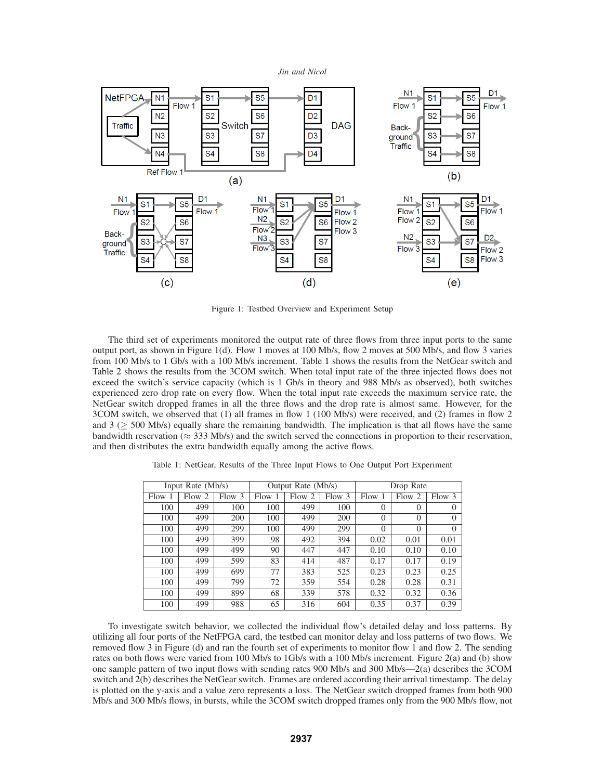



Figure 1: Testbed Overview and Experiment Setup

The third set of experiments monitored the output rate of three flows from three input ports to the same output port, as shown in Figure 1(d). Flow 1 moves at 100 Mb/s, flow 2 moves at 500 Mb/s, and flow 3 varies from 100 Mb/s to 1 Gb/s with a 100 Mb/s increment. Table 1 shows the results from the NetGear switch and Table 2 shows the results from the 3COM switch. When total input rate of the three injected flows does not exceed the switch's service capacity (which is 1 Gb/s in theory and 988 Mb/s as observed), both switches experienced zero drop rate on every flow. When the total input rate exceeds the maximum service rate, the NetGear switch dropped frames in all the three flows and the drop rate is almost same. However, for the 3COM switch, we observed that (1) all frames in flow 1 (100 Mb/s) were received, and (2) frames in flow 2 and 3 ( $\geq$  500 Mb/s) equally share the remaining bandwidth. The implication is that all flows have the same bandwidth reservation ( $\approx$  333 Mb/s) and the switch served the connections in proportion to their reservation, and then distributes the extra bandwidth equally among the active flows.

| Input Rate (Mb/s) |        | Output Rate (Mb/s) |        |        | Drop Rate |          |          |          |
|-------------------|--------|--------------------|--------|--------|-----------|----------|----------|----------|
| Flow 1            | Flow 2 | Flow 3             | Flow 1 | Flow 2 | Flow 3    | Flow 1   | Flow 2   | Flow 3   |
| 100               | 499    | 100                | 100    | 499    | 100       | $\Omega$ | $\Omega$ | $\Omega$ |
| 100               | 499    | 200                | 100    | 499    | 200       | $\theta$ | $\Omega$ | $\Omega$ |
| 100               | 499    | 299                | 100    | 499    | 299       | $\theta$ | $\Omega$ | $\Omega$ |
| 100               | 499    | 399                | 98     | 492    | 394       | 0.02     | 0.01     | 0.01     |
| 100               | 499    | 499                | 90     | 447    | 447       | 0.10     | 0.10     | 0.10     |
| 100               | 499    | 599                | 83     | 414    | 487       | 0.17     | 0.17     | 0.19     |
| 100               | 499    | 699                | 77     | 383    | 525       | 0.23     | 0.23     | 0.25     |
| 100               | 499    | 799                | 72     | 359    | 554       | 0.28     | 0.28     | 0.31     |
| 100               | 499    | 899                | 68     | 339    | 578       | 0.32     | 0.32     | 0.36     |
| 100               | 499    | 988                | 65     | 316    | 604       | 0.35     | 0.37     | 0.39     |

Table 1: NetGear, Results of the Three Input Flows to One Output Port Experiment

To investigate switch behavior, we collected the individual flow's detailed delay and loss patterns. By utilizing all four ports of the NetFPGA card, the testbed can monitor delay and loss patterns of two flows. We removed flow 3 in Figure (d) and ran the fourth set of experiments to monitor flow 1 and flow 2. The sending rates on both flows were varied from 100 Mb/s to 1Gb/s with a 100 Mb/s increment. Figure 2(a) and (b) show one sample pattern of two input flows with sending rates 900 Mb/s and 300 Mb/s—2(a) describes the 3COM switch and 2(b) describes the NetGear switch. Frames are ordered according their arrival timestamp. The delay is plotted on the y-axis and a value zero represents a loss. The NetGear switch dropped frames from both 900 Mb/s and 300 Mb/s flows, in bursts, while the 3COM switch dropped frames only from the 900 Mb/s flow, not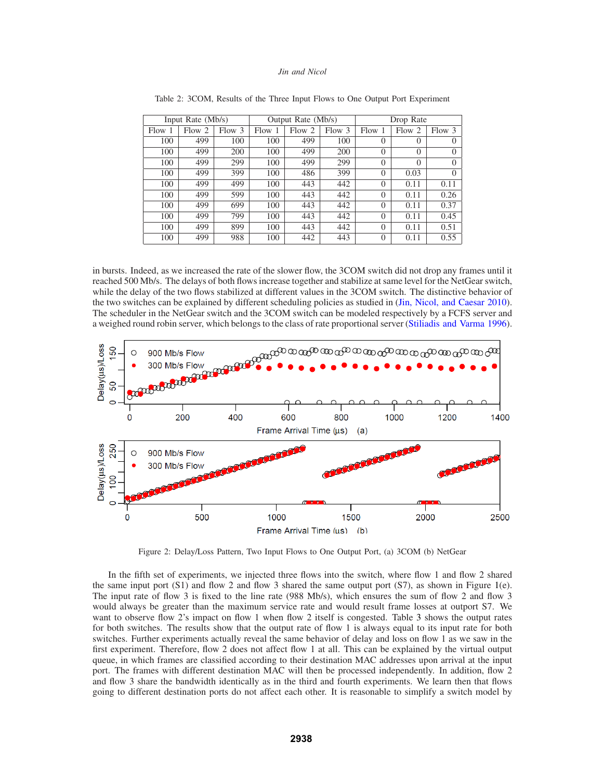| Input Rate $(Mb/s)$ |        | Output Rate (Mb/s) |        |        | Drop Rate |                |          |          |
|---------------------|--------|--------------------|--------|--------|-----------|----------------|----------|----------|
| Flow 1              | Flow 2 | Flow 3             | Flow 1 | Flow 2 | Flow 3    | Flow 1         | Flow 2   | Flow 3   |
| 100                 | 499    | 100                | 100    | 499    | 100       | $\Omega$       | $\Omega$ | $\Omega$ |
| 100                 | 499    | 200                | 100    | 499    | 200       | $\theta$       | $\Omega$ | $\theta$ |
| 100                 | 499    | 299                | 100    | 499    | 299       | $\Omega$       | $\theta$ | $\theta$ |
| 100                 | 499    | 399                | 100    | 486    | 399       | $\theta$       | 0.03     | $\Omega$ |
| 100                 | 499    | 499                | 100    | 443    | 442       | $\Omega$       | 0.11     | 0.11     |
| 100                 | 499    | 599                | 100    | 443    | 442       | $\Omega$       | 0.11     | 0.26     |
| 100                 | 499    | 699                | 100    | 443    | 442       | $\Omega$       | 0.11     | 0.37     |
| 100                 | 499    | 799                | 100    | 443    | 442       | $\theta$       | 0.11     | 0.45     |
| 100                 | 499    | 899                | 100    | 443    | 442       | $\Omega$       | 0.11     | 0.51     |
| 100                 | 499    | 988                | 100    | 442    | 443       | $\overline{0}$ | 0.11     | 0.55     |

Table 2: 3COM, Results of the Three Input Flows to One Output Port Experiment

in bursts. Indeed, as we increased the rate of the slower flow, the 3COM switch did not drop any frames until it reached 500 Mb/s. The delays of both flows increase together and stabilize at same level for the NetGear switch, while the delay of the two flows stabilized at different values in the 3COM switch. The distinctive behavior of the two switches can be explained by different scheduling policies as studied in (Jin, Nicol, and Caesar 2010). The scheduler in the NetGear switch and the 3COM switch can be modeled respectively by a FCFS server and a weighed round robin server, which belongs to the class of rate proportional server (Stiliadis and Varma 1996).



Figure 2: Delay/Loss Pattern, Two Input Flows to One Output Port, (a) 3COM (b) NetGear

In the fifth set of experiments, we injected three flows into the switch, where flow 1 and flow 2 shared the same input port  $(S1)$  and flow 2 and flow 3 shared the same output port  $(S7)$ , as shown in Figure 1(e). The input rate of flow 3 is fixed to the line rate (988 Mb/s), which ensures the sum of flow 2 and flow 3 would always be greater than the maximum service rate and would result frame losses at outport S7. We want to observe flow 2's impact on flow 1 when flow 2 itself is congested. Table 3 shows the output rates for both switches. The results show that the output rate of flow 1 is always equal to its input rate for both switches. Further experiments actually reveal the same behavior of delay and loss on flow 1 as we saw in the first experiment. Therefore, flow 2 does not affect flow 1 at all. This can be explained by the virtual output queue, in which frames are classified according to their destination MAC addresses upon arrival at the input port. The frames with different destination MAC will then be processed independently. In addition, flow 2 and flow 3 share the bandwidth identically as in the third and fourth experiments. We learn then that flows going to different destination ports do not affect each other. It is reasonable to simplify a switch model by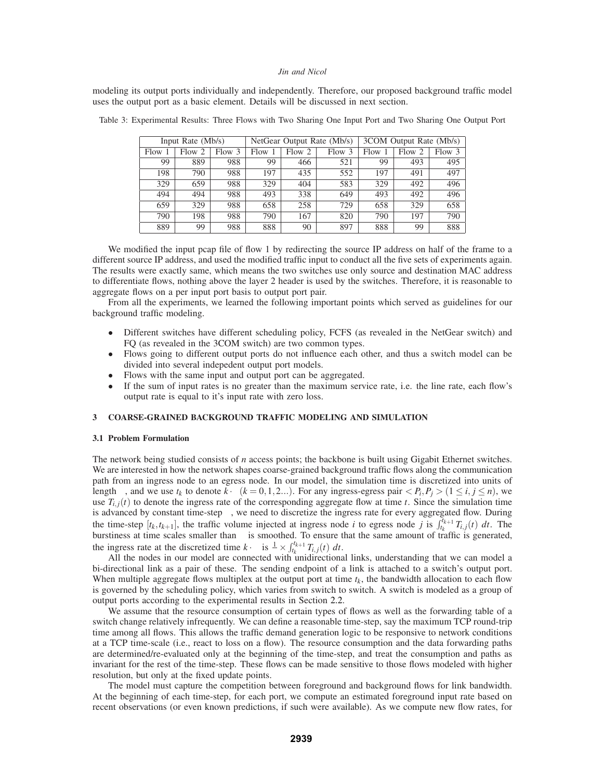modeling its output ports individually and independently. Therefore, our proposed background traffic model uses the output port as a basic element. Details will be discussed in next section.

| Input Rate (Mb/s) |        | NetGear Output Rate (Mb/s) |        |        | 3COM Output Rate (Mb/s) |        |        |        |
|-------------------|--------|----------------------------|--------|--------|-------------------------|--------|--------|--------|
| Flow              | Flow 2 | Flow 3                     | Flow 1 | Flow 2 | Flow 3                  | Flow 1 | Flow 2 | Flow 3 |
| 99                | 889    | 988                        | 99     | 466    | 521                     | 99     | 493    | 495    |
| 198               | 790    | 988                        | 197    | 435    | 552                     | 197    | 491    | 497    |
| 329               | 659    | 988                        | 329    | 404    | 583                     | 329    | 492    | 496    |
| 494               | 494    | 988                        | 493    | 338    | 649                     | 493    | 492    | 496    |
| 659               | 329    | 988                        | 658    | 258    | 729                     | 658    | 329    | 658    |
| 790               | 198    | 988                        | 790    | 167    | 820                     | 790    | 197    | 790    |
| 889               | 99     | 988                        | 888    | 90     | 897                     | 888    | 99     | 888    |

Table 3: Experimental Results: Three Flows with Two Sharing One Input Port and Two Sharing One Output Port

We modified the input pcap file of flow 1 by redirecting the source IP address on half of the frame to a different source IP address, and used the modified traffic input to conduct all the five sets of experiments again. The results were exactly same, which means the two switches use only source and destination MAC address to differentiate flows, nothing above the layer 2 header is used by the switches. Therefore, it is reasonable to aggregate flows on a per input port basis to output port pair.

From all the experiments, we learned the following important points which served as guidelines for our background traffic modeling.

- Different switches have different scheduling policy, FCFS (as revealed in the NetGear switch) and FQ (as revealed in the 3COM switch) are two common types.
- Flows going to different output ports do not influence each other, and thus a switch model can be divided into several indepedent output port models.
- Flows with the same input and output port can be aggregated.
- If the sum of input rates is no greater than the maximum service rate, i.e. the line rate, each flow's output rate is equal to it's input rate with zero loss.

# **3 COARSE-GRAINED BACKGROUND TRAFFIC MODELING AND SIMULATION**

#### **3.1 Problem Formulation**

The network being studied consists of *n* access points; the backbone is built using Gigabit Ethernet switches. We are interested in how the network shapes coarse-grained background traffic flows along the communication path from an ingress node to an egress node. In our model, the simulation time is discretized into units of length  $\Delta$ , and we use  $t_k$  to denote  $k \cdot \Delta(k=0,1,2...)$ . For any ingress-egress pair  $\langle P_i, P_j \rangle$  ( $1 \le i, j \le n$ ), we use  $T_{i,j}(t)$  to denote the ingress rate of the corresponding aggregate flow at time  $t$ . Since the simulation time is advanced by constant time-step ∆, we need to discretize the ingress rate for every aggregated flow. During the time-step  $[t_k, t_{k+1}]$ , the traffic volume injected at ingress node *i* to egress node *j* is  $\int_{t_k}^{t_{k+1}} T_{i,j}(t) dt$ . The burstiness at time scales smaller than ∆ is smoothed. To ensure that the same amount of traffic is generated, the ingress rate at the discretized time  $k \cdot \Delta$  is  $\frac{1}{\Delta} \times \int_{t_k}^{t_{k+1}} T_{i,j}(t) dt$ .<br>All the nodes in our model are connected with unidirectional links, understanding that we can model a

bi-directional link as a pair of these. The sending endpoint of a link is attached to a switch's output port. When multiple aggregate flows multiplex at the output port at time  $t_k$ , the bandwidth allocation to each flow is governed by the scheduling policy, which varies from switch to switch. A switch is modeled as a group of output ports according to the experimental results in Section 2.2.

We assume that the resource consumption of certain types of flows as well as the forwarding table of a switch change relatively infrequently. We can define a reasonable time-step, say the maximum TCP round-trip time among all flows. This allows the traffic demand generation logic to be responsive to network conditions at a TCP time-scale (i.e., react to loss on a flow). The resource consumption and the data forwarding paths are determined/re-evaluated only at the beginning of the time-step, and treat the consumption and paths as invariant for the rest of the time-step. These flows can be made sensitive to those flows modeled with higher resolution, but only at the fixed update points.

The model must capture the competition between foreground and background flows for link bandwidth. At the beginning of each time-step, for each port, we compute an estimated foreground input rate based on recent observations (or even known predictions, if such were available). As we compute new flow rates, for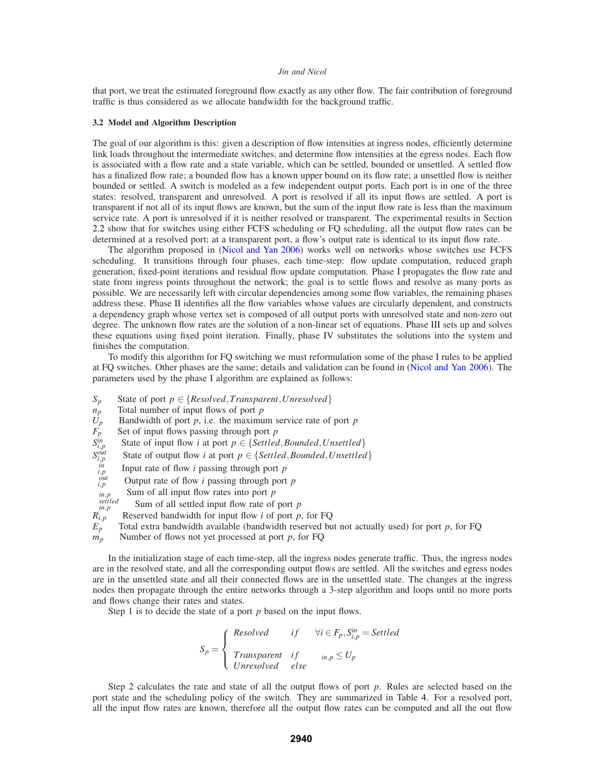that port, we treat the estimated foreground flow exactly as any other flow. The fair contribution of foreground traffic is thus considered as we allocate bandwidth for the background traffic.

#### **3.2 Model and Algorithm Description**

The goal of our algorithm is this: given a description of flow intensities at ingress nodes, efficiently determine link loads throughout the intermediate switches, and determine flow intensities at the egress nodes. Each flow is associated with a flow rate and a state variable, which can be settled, bounded or unsettled. A settled flow has a finalized flow rate; a bounded flow has a known upper bound on its flow rate; a unsettled flow is neither bounded or settled. A switch is modeled as a few independent output ports. Each port is in one of the three states: resolved, transparent and unresolved. A port is resolved if all its input flows are settled. A port is transparent if not all of its input flows are known, but the sum of the input flow rate is less than the maximum service rate. A port is unresolved if it is neither resolved or transparent. The experimental results in Section 2.2 show that for switches using either FCFS scheduling or FQ scheduling, all the output flow rates can be determined at a resolved port; at a transparent port, a flow's output rate is identical to its input flow rate.

The algorithm proposed in (Nicol and Yan 2006) works well on networks whose switches use FCFS scheduling. It transitions through four phases, each time-step: flow update computation, reduced graph generation, fixed-point iterations and residual flow update computation. Phase I propagates the flow rate and state from ingress points throughout the network; the goal is to settle flows and resolve as many ports as possible. We are necessarily left with circular dependencies among some flow variables, the remaining phases address these. Phase II identifies all the flow variables whose values are circularly dependent, and constructs a dependency graph whose vertex set is composed of all output ports with unresolved state and non-zero out degree. The unknown flow rates are the solution of a non-linear set of equations. Phase III sets up and solves these equations using fixed point iteration. Finally, phase IV substitutes the solutions into the system and finishes the computation.

To modify this algorithm for FQ switching we must reformulation some of the phase I rules to be applied at FQ switches. Other phases are the same; details and validation can be found in (Nicol and Yan 2006). The parameters used by the phase I algorithm are explained as follows:

- *S<sub>p</sub>* State of port  $p \in \{Resolved, Transparent, Unresolved\}$
- Total number of input flows of port *p*
- Bandwidth of port  $p$ , i.e. the maximum service rate of port  $p$
- Set of input flows passing through port *p*
- *Sin State of input flow <i>i* at port  $p \in \{Settled, Bounded, Unsettled\}$
- *Sout State of output flow <i>i* at port  $p \in \{Settled, Bounded, Unsettled\}$
- λ*in* Input rate of flow  $i$  passing through port  $p$
- λ*out*
- $\lambda_{i,p}^{out}$  Output rate of flow *i* passing through port *p*  $\Lambda_{in,n}$  Sum of all input flow rates into port *p* Λ*in*,*<sup>p</sup>* Sum of all input flow rates into port *p*

 $\Lambda_{in,p}^{setled}$ <br> $R_{i,p}$ Sum of all settled input flow rate of port *p* 

- 
- $R_{i,p}$  Reserved bandwidth for input flow *i* of port *p*, for FQ  $E_p$  Total extra bandwidth available (bandwidth reserved bu Total extra bandwidth available (bandwidth reserved but not actually used) for port  $p$ , for FQ
- *mp* Number of flows not yet processed at port *p*, for FQ

In the initialization stage of each time-step, all the ingress nodes generate traffic. Thus, the ingress nodes are in the resolved state, and all the corresponding output flows are settled. All the switches and egress nodes are in the unsettled state and all their connected flows are in the unsettled state. The changes at the ingress nodes then propagate through the entire networks through a 3-step algorithm and loops until no more ports and flows change their rates and states.

Step 1 is to decide the state of a port *p* based on the input flows.

$$
S_p = \begin{cases} Resolved & if \quad \forall i \in F_p, S_{i,p}^{in} = Settled \\ Transparent & if \quad \Lambda_{in,p} \le U_p \\ Unresolved & else \end{cases}
$$

Step 2 calculates the rate and state of all the output flows of port *p*. Rules are selected based on the port state and the scheduling policy of the switch. They are summarized in Table 4. For a resolved port, all the input flow rates are known, therefore all the output flow rates can be computed and all the out flow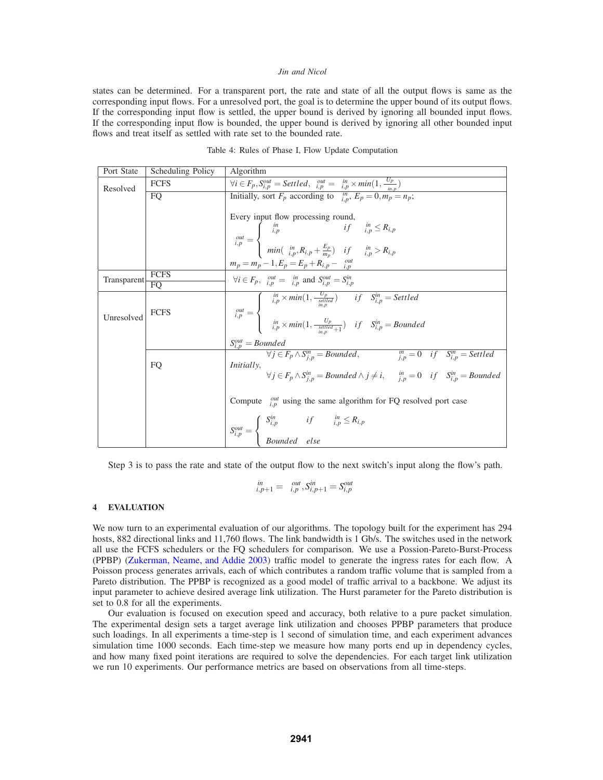states can be determined. For a transparent port, the rate and state of all the output flows is same as the corresponding input flows. For a unresolved port, the goal is to determine the upper bound of its output flows. If the corresponding input flow is settled, the upper bound is derived by ignoring all bounded input flows. If the corresponding input flow is bounded, the upper bound is derived by ignoring all other bounded input flows and treat itself as settled with rate set to the bounded rate.

| Port State  | Scheduling Policy | Algorithm                                                                                                                                                                                                                                                                                                            |  |  |  |  |
|-------------|-------------------|----------------------------------------------------------------------------------------------------------------------------------------------------------------------------------------------------------------------------------------------------------------------------------------------------------------------|--|--|--|--|
| Resolved    | <b>FCFS</b>       | $\forall i \in F_p$ , $S_{i,p}^{out} = Settled$ , $\lambda_{i,p}^{out} = \lambda_{i,p}^{in} \times min(1, \frac{U_p}{\Delta_{i,p}})$                                                                                                                                                                                 |  |  |  |  |
|             | <b>FQ</b>         | Initially, sort $F_p$ according to $\lambda_{i,p}^{in}$ , $E_p = 0, m_p = n_p$ ;                                                                                                                                                                                                                                     |  |  |  |  |
|             |                   |                                                                                                                                                                                                                                                                                                                      |  |  |  |  |
|             |                   | Every input flow processing round,                                                                                                                                                                                                                                                                                   |  |  |  |  |
|             |                   |                                                                                                                                                                                                                                                                                                                      |  |  |  |  |
|             |                   | $\lambda_{i,p}^{out} = \left\{ \begin{array}{ccc} \lambda_{i,p}^{in} & if & \lambda_{i,p}^{in} \leq R_{i,p} \\ & & \\ min(\lambda_{i,p}^{in}, R_{i,p} + \frac{E_p}{m_n}) & if & \lambda_{i,p}^{in} > R_{i,p} \\ \end{array} \right.$                                                                                 |  |  |  |  |
|             |                   | $m_p = m_p - 1, E_p = E_p + R_{i,p} - \lambda_{i,p}^{out}$                                                                                                                                                                                                                                                           |  |  |  |  |
| Transparent | <b>FCFS</b>       | $\forall i \in F_p, \lambda_{i,p}^{out} = \lambda_{i,p}^{in}$ and $S_{i,p}^{out} = S_{i,p}^{in}$                                                                                                                                                                                                                     |  |  |  |  |
|             | <b>FO</b>         |                                                                                                                                                                                                                                                                                                                      |  |  |  |  |
|             | <b>FCFS</b>       |                                                                                                                                                                                                                                                                                                                      |  |  |  |  |
| Unresolved  |                   | $\lambda_{i,p}^{out} = \left\{ \begin{array}{ccc} \lambda_{i,p}^{in} \times min(1,\frac{U_p}{\Lambda_{in,p}^{setiled}}) & if & S_{i,p}^{in} = Settled \\ & & \\ \lambda_{i,p}^{in} \times min(1,\frac{U_p}{\Lambda_{i}^{setled}+1}) & if & S_{i,p}^{in} = Bounded \end{array} \right.$                               |  |  |  |  |
|             |                   | $\begin{aligned} \frac{S_{i,p}^{out}=Bounded}{\forall j \in F_{p} \land S_{j,p}^{in}=Bounded,} &\lambda_{j,p}^{in}=0 \quad if \quad S_{i,p}^{in}=Settled \\ Initially, &\forall j \in F_{p} \land S_{j,p}^{in}=Bounded \land j \neq i, \quad \lambda_{j,p}^{in}=0 \quad if \quad S_{i,p}^{in}=Bounded \end{aligned}$ |  |  |  |  |
|             |                   |                                                                                                                                                                                                                                                                                                                      |  |  |  |  |
|             | <b>FQ</b>         |                                                                                                                                                                                                                                                                                                                      |  |  |  |  |
|             |                   |                                                                                                                                                                                                                                                                                                                      |  |  |  |  |
|             |                   |                                                                                                                                                                                                                                                                                                                      |  |  |  |  |
|             |                   | Compute $\lambda_{i,p}^{out}$ using the same algorithm for FQ resolved port case                                                                                                                                                                                                                                     |  |  |  |  |
|             |                   | $S_{i,p}^{out} = \begin{cases} S_{i,p}^{in} & if \quad \lambda_{i,p}^{in} \leq R_{i,p} \\ Bounded & else \end{cases}$                                                                                                                                                                                                |  |  |  |  |
|             |                   |                                                                                                                                                                                                                                                                                                                      |  |  |  |  |

Table 4: Rules of Phase I, Flow Update Computation

Step 3 is to pass the rate and state of the output flow to the next switch's input along the flow's path.

$$
\lambda_{i,p+1}^{in} = \lambda_{i,p}^{out}, S_{i,p+1}^{in} = S_{i,p}^{out}
$$

#### **4 EVALUATION**

We now turn to an experimental evaluation of our algorithms. The topology built for the experiment has 294 hosts, 882 directional links and 11,760 flows. The link bandwidth is 1 Gb/s. The switches used in the network all use the FCFS schedulers or the FQ schedulers for comparison. We use a Possion-Pareto-Burst-Process (PPBP) (Zukerman, Neame, and Addie 2003) traffic model to generate the ingress rates for each flow. A Poisson process generates arrivals, each of which contributes a random traffic volume that is sampled from a Pareto distribution. The PPBP is recognized as a good model of traffic arrival to a backbone. We adjust its input parameter to achieve desired average link utilization. The Hurst parameter for the Pareto distribution is set to 0.8 for all the experiments.

Our evaluation is focused on execution speed and accuracy, both relative to a pure packet simulation. The experimental design sets a target average link utilization and chooses PPBP parameters that produce such loadings. In all experiments a time-step is 1 second of simulation time, and each experiment advances simulation time 1000 seconds. Each time-step we measure how many ports end up in dependency cycles, and how many fixed point iterations are required to solve the dependencies. For each target link utilization we run 10 experiments. Our performance metrics are based on observations from all time-steps.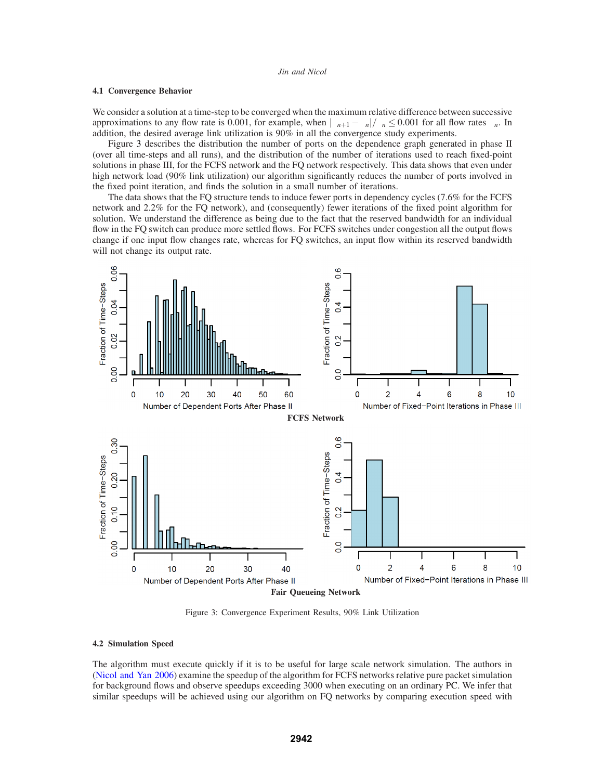## **4.1 Convergence Behavior**

We consider a solution at a time-step to be converged when the maximum relative difference between successive approximations to any flow rate is 0.001, for example, when  $|\lambda_{n+1} - \lambda_n| / \lambda_n \leq 0.001$  for all flow rates  $\lambda_n$ . In addition, the desired average link utilization is 90% in all the convergence study experiments.

Figure 3 describes the distribution the number of ports on the dependence graph generated in phase II (over all time-steps and all runs), and the distribution of the number of iterations used to reach fixed-point solutions in phase III, for the FCFS network and the FQ network respectively. This data shows that even under high network load (90% link utilization) our algorithm significantly reduces the number of ports involved in the fixed point iteration, and finds the solution in a small number of iterations.

The data shows that the FQ structure tends to induce fewer ports in dependency cycles (7.6% for the FCFS network and 2.2% for the FQ network), and (consequently) fewer iterations of the fixed point algorithm for solution. We understand the difference as being due to the fact that the reserved bandwidth for an individual flow in the FQ switch can produce more settled flows. For FCFS switches under congestion all the output flows change if one input flow changes rate, whereas for FQ switches, an input flow within its reserved bandwidth will not change its output rate.



Figure 3: Convergence Experiment Results, 90% Link Utilization

#### **4.2 Simulation Speed**

The algorithm must execute quickly if it is to be useful for large scale network simulation. The authors in (Nicol and Yan 2006) examine the speedup of the algorithm for FCFS networks relative pure packet simulation for background flows and observe speedups exceeding 3000 when executing on an ordinary PC. We infer that similar speedups will be achieved using our algorithm on FQ networks by comparing execution speed with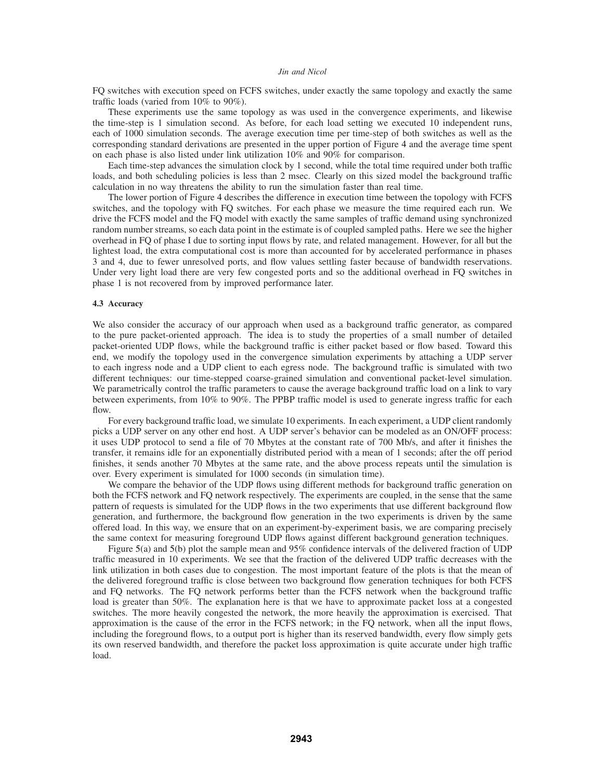FQ switches with execution speed on FCFS switches, under exactly the same topology and exactly the same traffic loads (varied from  $10\%$  to  $90\%$ ).

These experiments use the same topology as was used in the convergence experiments, and likewise the time-step is 1 simulation second. As before, for each load setting we executed 10 independent runs, each of 1000 simulation seconds. The average execution time per time-step of both switches as well as the corresponding standard derivations are presented in the upper portion of Figure 4 and the average time spent on each phase is also listed under link utilization 10% and 90% for comparison.

Each time-step advances the simulation clock by 1 second, while the total time required under both traffic loads, and both scheduling policies is less than 2 msec. Clearly on this sized model the background traffic calculation in no way threatens the ability to run the simulation faster than real time.

The lower portion of Figure 4 describes the difference in execution time between the topology with FCFS switches, and the topology with FQ switches. For each phase we measure the time required each run. We drive the FCFS model and the FQ model with exactly the same samples of traffic demand using synchronized random number streams, so each data point in the estimate is of coupled sampled paths. Here we see the higher overhead in FQ of phase I due to sorting input flows by rate, and related management. However, for all but the lightest load, the extra computational cost is more than accounted for by accelerated performance in phases 3 and 4, due to fewer unresolved ports, and flow values settling faster because of bandwidth reservations. Under very light load there are very few congested ports and so the additional overhead in FQ switches in phase 1 is not recovered from by improved performance later.

#### **4.3 Accuracy**

We also consider the accuracy of our approach when used as a background traffic generator, as compared to the pure packet-oriented approach. The idea is to study the properties of a small number of detailed packet-oriented UDP flows, while the background traffic is either packet based or flow based. Toward this end, we modify the topology used in the convergence simulation experiments by attaching a UDP server to each ingress node and a UDP client to each egress node. The background traffic is simulated with two different techniques: our time-stepped coarse-grained simulation and conventional packet-level simulation. We parametrically control the traffic parameters to cause the average background traffic load on a link to vary between experiments, from 10% to 90%. The PPBP traffic model is used to generate ingress traffic for each flow.

For every background traffic load, we simulate 10 experiments. In each experiment, a UDP client randomly picks a UDP server on any other end host. A UDP server's behavior can be modeled as an ON/OFF process: it uses UDP protocol to send a file of 70 Mbytes at the constant rate of 700 Mb/s, and after it finishes the transfer, it remains idle for an exponentially distributed period with a mean of 1 seconds; after the off period finishes, it sends another 70 Mbytes at the same rate, and the above process repeats until the simulation is over. Every experiment is simulated for 1000 seconds (in simulation time).

We compare the behavior of the UDP flows using different methods for background traffic generation on both the FCFS network and FQ network respectively. The experiments are coupled, in the sense that the same pattern of requests is simulated for the UDP flows in the two experiments that use different background flow generation, and furthermore, the background flow generation in the two experiments is driven by the same offered load. In this way, we ensure that on an experiment-by-experiment basis, we are comparing precisely the same context for measuring foreground UDP flows against different background generation techniques.

Figure 5(a) and 5(b) plot the sample mean and 95% confidence intervals of the delivered fraction of UDP traffic measured in 10 experiments. We see that the fraction of the delivered UDP traffic decreases with the link utilization in both cases due to congestion. The most important feature of the plots is that the mean of the delivered foreground traffic is close between two background flow generation techniques for both FCFS and FQ networks. The FQ network performs better than the FCFS network when the background traffic load is greater than 50%. The explanation here is that we have to approximate packet loss at a congested switches. The more heavily congested the network, the more heavily the approximation is exercised. That approximation is the cause of the error in the FCFS network; in the FQ network, when all the input flows, including the foreground flows, to a output port is higher than its reserved bandwidth, every flow simply gets its own reserved bandwidth, and therefore the packet loss approximation is quite accurate under high traffic load.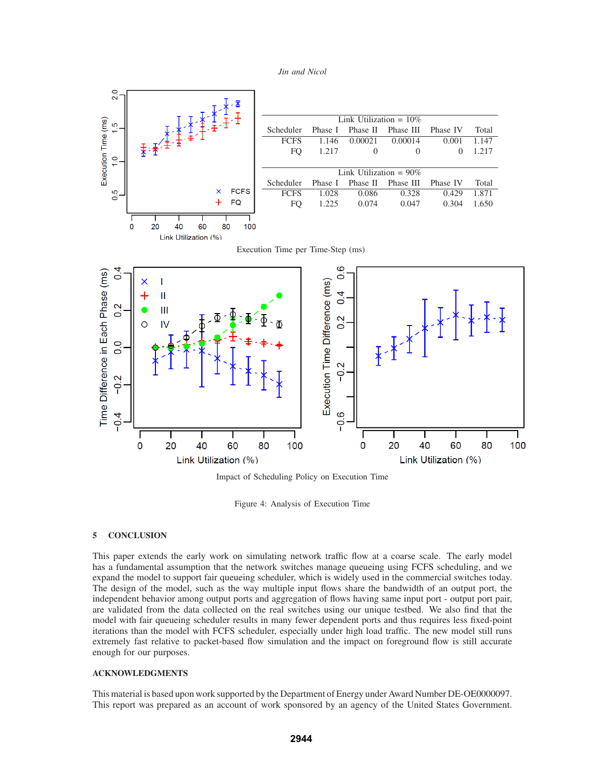*Jin and Nicol*



Impact of Scheduling Policy on Execution Time

Figure 4: Analysis of Execution Time

# **5 CONCLUSION**

This paper extends the early work on simulating network traffic flow at a coarse scale. The early model has a fundamental assumption that the network switches manage queueing using FCFS scheduling, and we expand the model to support fair queueing scheduler, which is widely used in the commercial switches today. The design of the model, such as the way multiple input flows share the bandwidth of an output port, the independent behavior among output ports and aggregation of flows having same input port - output port pair, are validated from the data collected on the real switches using our unique testbed. We also find that the model with fair queueing scheduler results in many fewer dependent ports and thus requires less fixed-point iterations than the model with FCFS scheduler, especially under high load traffic. The new model still runs extremely fast relative to packet-based flow simulation and the impact on foreground flow is still accurate enough for our purposes.

# **ACKNOWLEDGMENTS**

This material is based upon work supported by the Department of Energy under Award Number DE-OE0000097. This report was prepared as an account of work sponsored by an agency of the United States Government.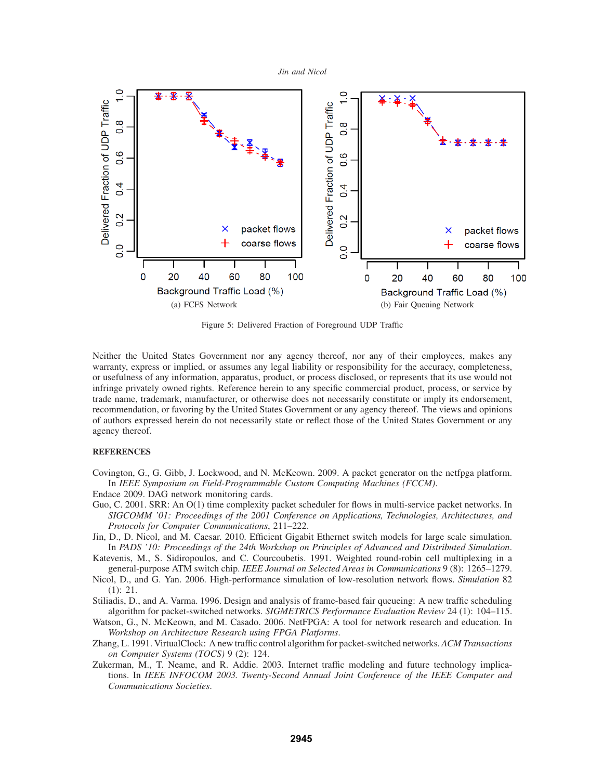

Figure 5: Delivered Fraction of Foreground UDP Traffic

Neither the United States Government nor any agency thereof, nor any of their employees, makes any warranty, express or implied, or assumes any legal liability or responsibility for the accuracy, completeness, or usefulness of any information, apparatus, product, or process disclosed, or represents that its use would not infringe privately owned rights. Reference herein to any specific commercial product, process, or service by trade name, trademark, manufacturer, or otherwise does not necessarily constitute or imply its endorsement, recommendation, or favoring by the United States Government or any agency thereof. The views and opinions of authors expressed herein do not necessarily state or reflect those of the United States Government or any agency thereof.

# **REFERENCES**

Covington, G., G. Gibb, J. Lockwood, and N. McKeown. 2009. A packet generator on the netfpga platform. In *IEEE Symposium on Field-Programmable Custom Computing Machines (FCCM)*.

Endace 2009. DAG network monitoring cards.

- Guo, C. 2001. SRR: An O(1) time complexity packet scheduler for flows in multi-service packet networks. In *SIGCOMM '01: Proceedings of the 2001 Conference on Applications, Technologies, Architectures, and Protocols for Computer Communications*, 211–222.
- Jin, D., D. Nicol, and M. Caesar. 2010. Efficient Gigabit Ethernet switch models for large scale simulation. In *PADS '10: Proceedings of the 24th Workshop on Principles of Advanced and Distributed Simulation*.
- Katevenis, M., S. Sidiropoulos, and C. Courcoubetis. 1991. Weighted round-robin cell multiplexing in a general-purpose ATM switch chip. *IEEE Journal on Selected Areas in Communications* 9 (8): 1265–1279.
- Nicol, D., and G. Yan. 2006. High-performance simulation of low-resolution network flows. *Simulation* 82 (1): 21.
- Stiliadis, D., and A. Varma. 1996. Design and analysis of frame-based fair queueing: A new traffic scheduling algorithm for packet-switched networks. *SIGMETRICS Performance Evaluation Review* 24 (1): 104–115.
- Watson, G., N. McKeown, and M. Casado. 2006. NetFPGA: A tool for network research and education. In *Workshop on Architecture Research using FPGA Platforms*.
- Zhang, L. 1991. VirtualClock: A new traffic control algorithm for packet-switched networks. *ACM Transactions on Computer Systems (TOCS)* 9 (2): 124.
- Zukerman, M., T. Neame, and R. Addie. 2003. Internet traffic modeling and future technology implications. In *IEEE INFOCOM 2003. Twenty-Second Annual Joint Conference of the IEEE Computer and Communications Societies*.